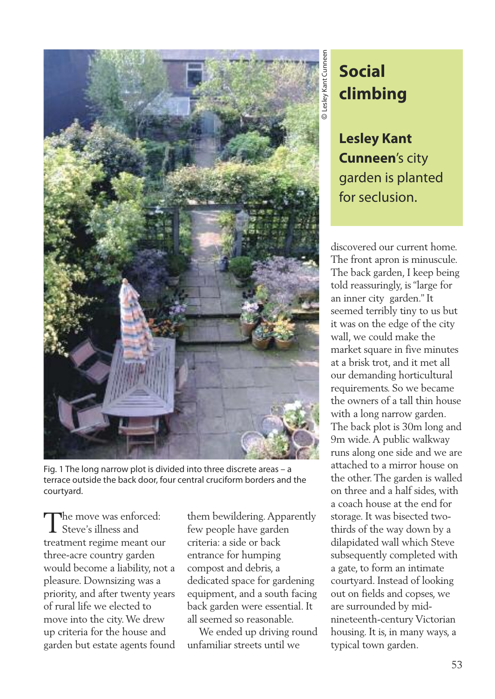

Fig. 1 The long narrow plot is divided into three discrete areas – a terrace outside the back door, four central cruciform borders and the courtyard.

The move was enforced: Steve's illness and treatment regime meant our three-acre country garden would become a liability, not a pleasure. Downsizing was a priority, and after twenty years of rural life we elected to move into the city.We drew up criteria for the house and garden but estate agents found

them bewildering.Apparently few people have garden criteria: a side or back entrance for humping compost and debris, a dedicated space for gardening equipment, and a south facing back garden were essential. It all seemed so reasonable.

We ended up driving round unfamiliar streets until we

## **Social climbing**

**Lesley Kant Cunneen**'s city garden is planted for seclusion.

discovered our current home. The front apron is minuscule. The back garden, I keep being told reassuringly, is "large for an inner city garden." It seemed terribly tiny to us but it was on the edge of the city wall, we could make the market square in five minutes at a brisk trot, and it met all our demanding horticultural requirements. So we became the owners of a tall thin house with a long narrow garden. The back plot is 30m long and 9m wide.A public walkway runs along one side and we are attached to a mirror house on the other.The garden is walled on three and a half sides, with a coach house at the end for storage. It was bisected twothirds of the way down by a dilapidated wall which Steve subsequently completed with a gate, to form an intimate courtyard. Instead of looking out on fields and copses, we are surrounded by midnineteenth-century Victorian housing. It is, in many ways, a typical town garden.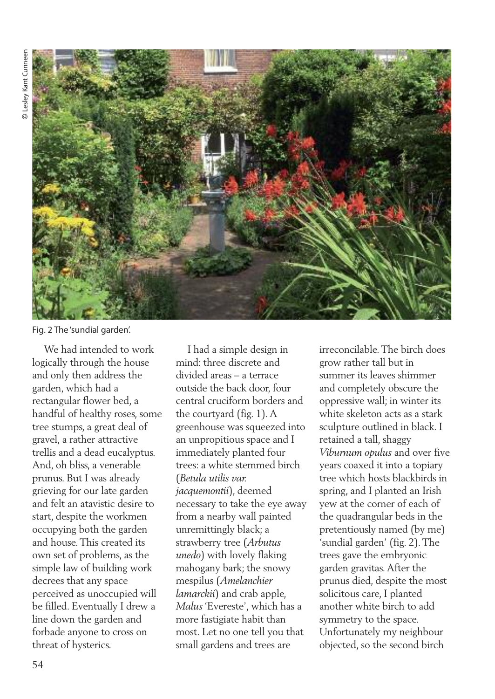

Fig. 2 The 'sundial garden'.

We had intended to work logically through the house and only then address the garden, which had a rectangular flower bed, a handful of healthy roses, some tree stumps, a great deal of gravel, a rather attractive trellis and a dead eucalyptus. And, oh bliss, a venerable prunus. But I was already grieving for our late garden and felt an atavistic desire to start, despite the workmen occupying both the garden and house.This created its own set of problems, as the simple law of building work decrees that any space perceived as unoccupied will be filled. Eventually I drew a line down the garden and forbade anyone to cross on threat of hysterics.

I had a simple design in mind: three discrete and divided areas – a terrace outside the back door, four central cruciform borders and the courtyard (fig. 1).A greenhouse was squeezed into an unpropitious space and I immediately planted four trees: a white stemmed birch (*Betula utilis var. jacquemontii*), deemed necessary to take the eye away from a nearby wall painted unremittingly black; a strawberry tree (*Arbutus unedo*) with lovely flaking mahogany bark; the snowy mespilus (*Amelanchier lamarckii*) and crab apple, *Malus* 'Evereste', which has a more fastigiate habit than most. Let no one tell you that small gardens and trees are

irreconcilable.The birch does grow rather tall but in summer its leaves shimmer and completely obscure the oppressive wall; in winter its white skeleton acts as a stark sculpture outlined in black. I retained a tall, shaggy *Viburnum opulus* and over five years coaxed it into a topiary tree which hosts blackbirds in spring, and I planted an Irish yew at the corner of each of the quadrangular beds in the pretentiously named (by me) 'sundial garden' (fig. 2).The trees gave the embryonic garden gravitas.After the prunus died, despite the most solicitous care, I planted another white birch to add symmetry to the space. Unfortunately my neighbour objected, so the second birch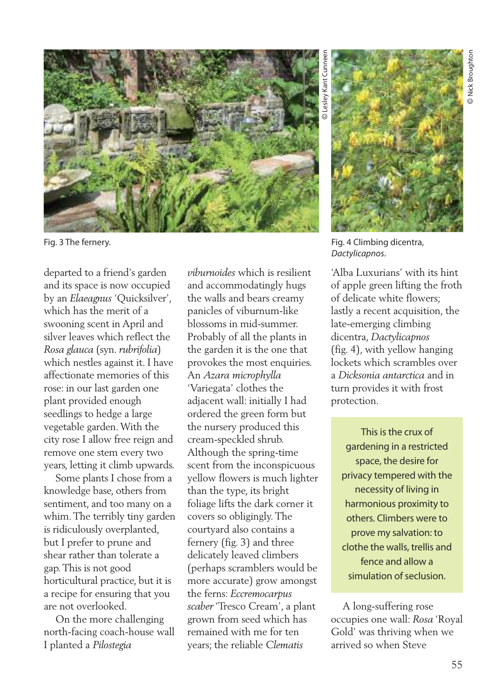

Fig. 3 The fernery.

departed to a friend's garden and its space is now occupied by an *Elaeagnus* 'Quicksilver', which has the merit of a swooning scent in April and silver leaves which reflect the *Rosa glauca* (syn. *rubrifolia*) which nestles against it. I have affectionate memories of this rose: in our last garden one plant provided enough seedlings to hedge a large vegetable garden.With the city rose I allow free reign and remove one stem every two years, letting it climb upwards.

Some plants I chose from a knowledge base, others from sentiment, and too many on a whim.The terribly tiny garden is ridiculously overplanted, but I prefer to prune and shear rather than tolerate a gap.This is not good horticultural practice, but it is a recipe for ensuring that you are not overlooked.

On the more challenging north-facing coach-house wall I planted a *Pilostegia*

*viburnoides* which is resilient and accommodatingly hugs the walls and bears creamy panicles of viburnum-like blossoms in mid-summer. Probably of all the plants in the garden it is the one that provokes the most enquiries. An *Azara microphylla* 'Variegata' clothes the adjacent wall: initially I had ordered the green form but the nursery produced this cream-speckled shrub. Although the spring-time scent from the inconspicuous yellow flowers is much lighter than the type, its bright foliage lifts the dark corner it covers so obligingly.The courtyard also contains a fernery (fig. 3) and three delicately leaved climbers (perhaps scramblers would be more accurate) grow amongst the ferns: *Eccremocarpus scaber* 'Tresco Cream', a plant grown from seed which has remained with me for ten years; the reliable *Clematis*

 Lesley Kant Cunneen esley Kant Cunnee

©



Fig. 4 Climbing dicentra, *Dactylicapnos*.

'Alba Luxurians' with its hint of apple green lifting the froth of delicate white flowers; lastly a recent acquisition, the late-emerging climbing dicentra, *Dactylicapnos* (fig. 4), with yellow hanging lockets which scrambles over a *Dicksonia antarctica* and in turn provides it with frost protection.

This is the crux of gardening in a restricted space, the desire for privacy tempered with the necessity of living in harmonious proximity to others. Climbers were to prove my salvation: to clothe the walls, trellis and fence and allow a simulation of seclusion.

A long-suffering rose occupies one wall: *Rosa* 'Royal Gold' was thriving when we arrived so when Steve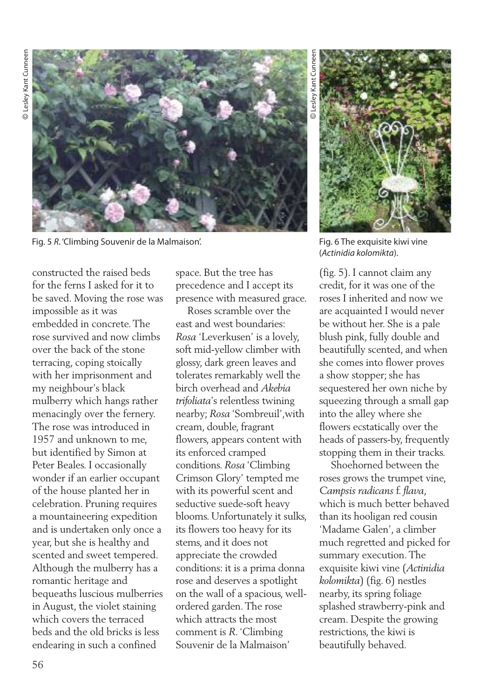

Fig. 5 *R*. 'Climbing Souvenir de la Malmaison'. Fig. 6 The exquisite kiwi vine

constructed the raised beds for the ferns I asked for it to be saved. Moving the rose was impossible as it was embedded in concrete.The rose survived and now climbs over the back of the stone terracing, coping stoically with her imprisonment and my neighbour's black mulberry which hangs rather menacingly over the fernery. The rose was introduced in 1957 and unknown to me, but identified by Simon at Peter Beales. I occasionally wonder if an earlier occupant of the house planted her in celebration. Pruning requires a mountaineering expedition and is undertaken only once a year, but she is healthy and scented and sweet tempered. Although the mulberry has a romantic heritage and bequeaths luscious mulberries in August, the violet staining which covers the terraced beds and the old bricks is less endearing in such a confined

space. But the tree has precedence and I accept its presence with measured grace.

Roses scramble over the east and west boundaries: *Rosa* 'Leverkusen' is a lovely, soft mid-yellow climber with glossy, dark green leaves and tolerates remarkably well the birch overhead and *Akebia trifoliata*'s relentless twining nearby; *Rosa* 'Sombreuil',with cream, double, fragrant flowers, appears content with its enforced cramped conditions. *Rosa* 'Climbing Crimson Glory' tempted me with its powerful scent and seductive suede-soft heavy blooms. Unfortunately it sulks, its flowers too heavy for its stems, and it does not appreciate the crowded conditions: it is a prima donna rose and deserves a spotlight on the wall of a spacious, wellordered garden.The rose which attracts the most comment is *R*. 'Climbing Souvenir de la Malmaison'

 Lesley Kant Cunneen esley Kant Cunnee



(*Actinidia kolomikta*).

(fig. 5). I cannot claim any credit, for it was one of the roses I inherited and now we are acquainted I would never be without her. She is a pale blush pink, fully double and beautifully scented, and when she comes into flower proves a show stopper; she has sequestered her own niche by squeezing through a small gap into the alley where she flowers ecstatically over the heads of passers-by, frequently stopping them in their tracks.

Shoehorned between the roses grows the trumpet vine, *Campsis radicans* f. *flava*, which is much better behaved than its hooligan red cousin 'Madame Galen', a climber much regretted and picked for summary execution.The exquisite kiwi vine (*Actinidia kolomikta*) (fig. 6) nestles nearby, its spring foliage splashed strawberry-pink and cream. Despite the growing restrictions, the kiwi is beautifully behaved.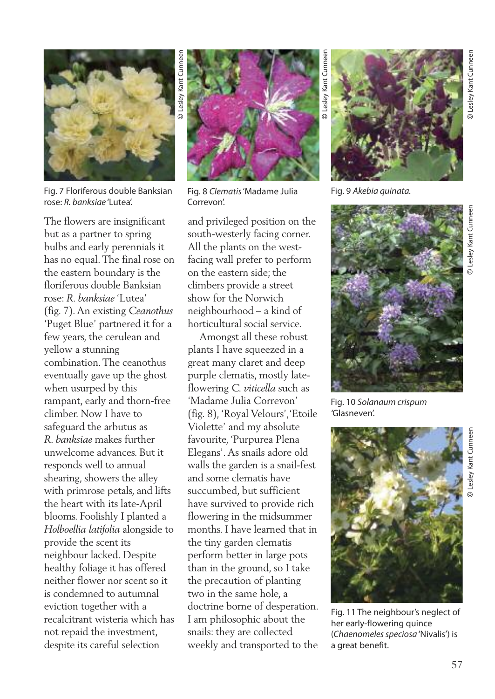

Fig. 7 Floriferous double Banksian rose: *R. banksiae* 'Lutea'.

The flowers are insignificant but as a partner to spring bulbs and early perennials it has no equal.The final rose on the eastern boundary is the floriferous double Banksian rose: *R. banksiae* 'Lutea' (fig. 7).An existing *Ceanothus* 'Puget Blue' partnered it for a few years, the cerulean and yellow a stunning combination.The ceanothus eventually gave up the ghost when usurped by this rampant, early and thorn-free climber. Now I have to safeguard the arbutus as *R. banksiae* makes further unwelcome advances. But it responds well to annual shearing, showers the alley with primrose petals, and lifts the heart with its late-April blooms. Foolishly I planted a *Holboellia latifolia* alongside to provide the scent its neighbour lacked. Despite healthy foliage it has offered neither flower nor scent so it is condemned to autumnal eviction together with a recalcitrant wisteria which has not repaid the investment, despite its careful selection



Fig. 8 *Clematis*'Madame Julia Correvon'.

and privileged position on the south-westerly facing corner. All the plants on the westfacing wall prefer to perform on the eastern side; the climbers provide a street show for the Norwich neighbourhood – a kind of horticultural social service.

Amongst all these robust plants I have squeezed in a great many claret and deep purple clematis, mostly lateflowering *C. viticella* such as 'Madame Julia Correvon' (fig. 8), 'Royal Velours','Etoile Violette' and my absolute favourite, 'Purpurea Plena Elegans'.As snails adore old walls the garden is a snail-fest and some clematis have succumbed, but sufficient have survived to provide rich flowering in the midsummer months. I have learned that in the tiny garden clematis perform better in large pots than in the ground, so I take the precaution of planting two in the same hole, a doctrine borne of desperation. I am philosophic about the snails: they are collected weekly and transported to the

Fig. 9 *Akebia quinata.*

Lesley Kant Cunneen



Fig. 10 *Solanaum crispum '*Glasneven'.



Fig. 11 The neighbour's neglect of her early-flowering quince (*Chaenomeles speciosa* 'Nivalis') is a great benefit.